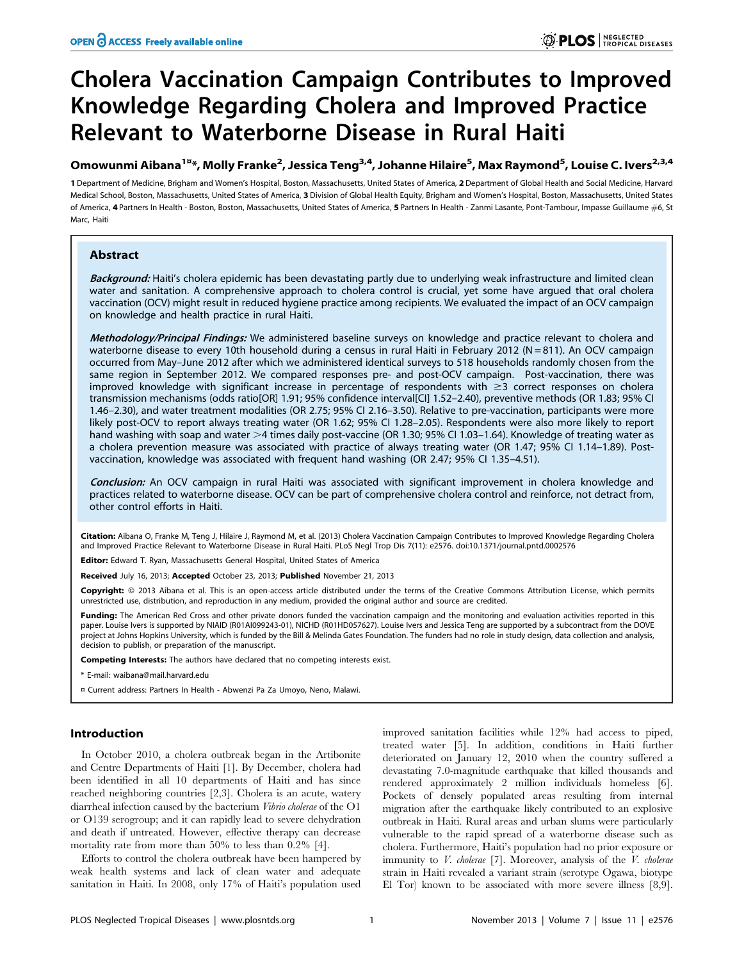# Cholera Vaccination Campaign Contributes to Improved Knowledge Regarding Cholera and Improved Practice Relevant to Waterborne Disease in Rural Haiti

## Omowunmi Aibana<sup>1¤</sup>\*, Molly Franke<sup>2</sup>, Jessica Teng<sup>3,4</sup>, Johanne Hilaire<sup>5</sup>, Max Raymond<sup>5</sup>, Louise C. Ivers<sup>2,3,4</sup>

1 Department of Medicine, Brigham and Women's Hospital, Boston, Massachusetts, United States of America, 2 Department of Global Health and Social Medicine, Harvard Medical School, Boston, Massachusetts, United States of America, 3 Division of Global Health Equity, Brigham and Women's Hospital, Boston, Massachusetts, United States of America, 4 Partners In Health - Boston, Boston, Massachusetts, United States of America, 5 Partners In Health - Zanmi Lasante, Pont-Tambour, Impasse Guillaume #6, St Marc, Haiti

## Abstract

Background: Haiti's cholera epidemic has been devastating partly due to underlying weak infrastructure and limited clean water and sanitation. A comprehensive approach to cholera control is crucial, yet some have argued that oral cholera vaccination (OCV) might result in reduced hygiene practice among recipients. We evaluated the impact of an OCV campaign on knowledge and health practice in rural Haiti.

Methodology/Principal Findings: We administered baseline surveys on knowledge and practice relevant to cholera and waterborne disease to every 10th household during a census in rural Haiti in February 2012 (N=811). An OCV campaign occurred from May–June 2012 after which we administered identical surveys to 518 households randomly chosen from the same region in September 2012. We compared responses pre- and post-OCV campaign. Post-vaccination, there was improved knowledge with significant increase in percentage of respondents with  $\geq 3$  correct responses on cholera transmission mechanisms (odds ratio[OR] 1.91; 95% confidence interval[CI] 1.52–2.40), preventive methods (OR 1.83; 95% CI 1.46–2.30), and water treatment modalities (OR 2.75; 95% CI 2.16–3.50). Relative to pre-vaccination, participants were more likely post-OCV to report always treating water (OR 1.62; 95% CI 1.28–2.05). Respondents were also more likely to report hand washing with soap and water  $>4$  times daily post-vaccine (OR 1.30; 95% CI 1.03–1.64). Knowledge of treating water as a cholera prevention measure was associated with practice of always treating water (OR 1.47; 95% CI 1.14–1.89). Postvaccination, knowledge was associated with frequent hand washing (OR 2.47; 95% CI 1.35–4.51).

Conclusion: An OCV campaign in rural Haiti was associated with significant improvement in cholera knowledge and practices related to waterborne disease. OCV can be part of comprehensive cholera control and reinforce, not detract from, other control efforts in Haiti.

Citation: Aibana O, Franke M, Teng J, Hilaire J, Raymond M, et al. (2013) Cholera Vaccination Campaign Contributes to Improved Knowledge Regarding Cholera and Improved Practice Relevant to Waterborne Disease in Rural Haiti. PLoS Negl Trop Dis 7(11): e2576. doi:10.1371/journal.pntd.0002576

Editor: Edward T. Ryan, Massachusetts General Hospital, United States of America

Received July 16, 2013; Accepted October 23, 2013; Published November 21, 2013

Copyright: © 2013 Aibana et al. This is an open-access article distributed under the terms of the Creative Commons Attribution License, which permits unrestricted use, distribution, and reproduction in any medium, provided the original author and source are credited.

Funding: The American Red Cross and other private donors funded the vaccination campaign and the monitoring and evaluation activities reported in this paper. Louise Ivers is supported by NIAID (R01AI099243-01), NICHD (R01HD057627). Louise Ivers and Jessica Teng are supported by a subcontract from the DOVE project at Johns Hopkins University, which is funded by the Bill & Melinda Gates Foundation. The funders had no role in study design, data collection and analysis, decision to publish, or preparation of the manuscript.

Competing Interests: The authors have declared that no competing interests exist.

\* E-mail: waibana@mail.harvard.edu

¤ Current address: Partners In Health - Abwenzi Pa Za Umoyo, Neno, Malawi.

## Introduction

In October 2010, a cholera outbreak began in the Artibonite and Centre Departments of Haiti [1]. By December, cholera had been identified in all 10 departments of Haiti and has since reached neighboring countries [2,3]. Cholera is an acute, watery diarrheal infection caused by the bacterium Vibrio cholerae of the O1 or O139 serogroup; and it can rapidly lead to severe dehydration and death if untreated. However, effective therapy can decrease mortality rate from more than 50% to less than 0.2% [4].

Efforts to control the cholera outbreak have been hampered by weak health systems and lack of clean water and adequate sanitation in Haiti. In 2008, only 17% of Haiti's population used improved sanitation facilities while 12% had access to piped, treated water [5]. In addition, conditions in Haiti further deteriorated on January 12, 2010 when the country suffered a devastating 7.0-magnitude earthquake that killed thousands and rendered approximately 2 million individuals homeless [6]. Pockets of densely populated areas resulting from internal migration after the earthquake likely contributed to an explosive outbreak in Haiti. Rural areas and urban slums were particularly vulnerable to the rapid spread of a waterborne disease such as cholera. Furthermore, Haiti's population had no prior exposure or immunity to *V. cholerae* [7]. Moreover, analysis of the *V. cholerae* strain in Haiti revealed a variant strain (serotype Ogawa, biotype El Tor) known to be associated with more severe illness [8,9].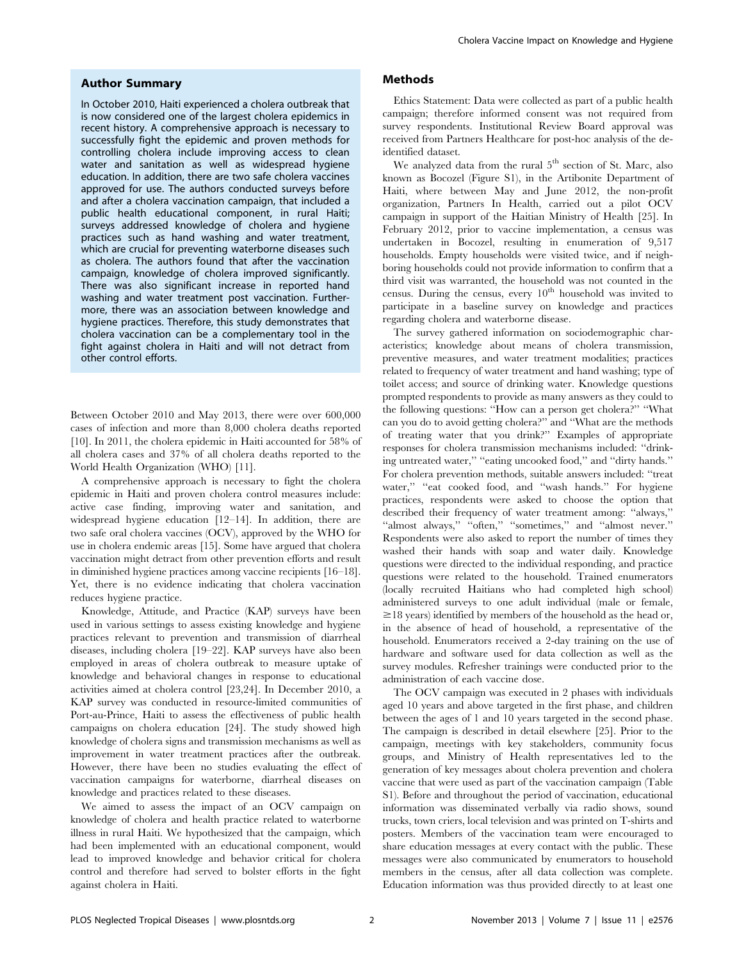## Author Summary

In October 2010, Haiti experienced a cholera outbreak that is now considered one of the largest cholera epidemics in recent history. A comprehensive approach is necessary to successfully fight the epidemic and proven methods for controlling cholera include improving access to clean water and sanitation as well as widespread hygiene education. In addition, there are two safe cholera vaccines approved for use. The authors conducted surveys before and after a cholera vaccination campaign, that included a public health educational component, in rural Haiti; surveys addressed knowledge of cholera and hygiene practices such as hand washing and water treatment, which are crucial for preventing waterborne diseases such as cholera. The authors found that after the vaccination campaign, knowledge of cholera improved significantly. There was also significant increase in reported hand washing and water treatment post vaccination. Furthermore, there was an association between knowledge and hygiene practices. Therefore, this study demonstrates that cholera vaccination can be a complementary tool in the fight against cholera in Haiti and will not detract from other control efforts.

Between October 2010 and May 2013, there were over 600,000 cases of infection and more than 8,000 cholera deaths reported [10]. In 2011, the cholera epidemic in Haiti accounted for 58% of all cholera cases and 37% of all cholera deaths reported to the World Health Organization (WHO) [11].

A comprehensive approach is necessary to fight the cholera epidemic in Haiti and proven cholera control measures include: active case finding, improving water and sanitation, and widespread hygiene education [12–14]. In addition, there are two safe oral cholera vaccines (OCV), approved by the WHO for use in cholera endemic areas [15]. Some have argued that cholera vaccination might detract from other prevention efforts and result in diminished hygiene practices among vaccine recipients [16–18]. Yet, there is no evidence indicating that cholera vaccination reduces hygiene practice.

Knowledge, Attitude, and Practice (KAP) surveys have been used in various settings to assess existing knowledge and hygiene practices relevant to prevention and transmission of diarrheal diseases, including cholera [19–22]. KAP surveys have also been employed in areas of cholera outbreak to measure uptake of knowledge and behavioral changes in response to educational activities aimed at cholera control [23,24]. In December 2010, a KAP survey was conducted in resource-limited communities of Port-au-Prince, Haiti to assess the effectiveness of public health campaigns on cholera education [24]. The study showed high knowledge of cholera signs and transmission mechanisms as well as improvement in water treatment practices after the outbreak. However, there have been no studies evaluating the effect of vaccination campaigns for waterborne, diarrheal diseases on knowledge and practices related to these diseases.

We aimed to assess the impact of an OCV campaign on knowledge of cholera and health practice related to waterborne illness in rural Haiti. We hypothesized that the campaign, which had been implemented with an educational component, would lead to improved knowledge and behavior critical for cholera control and therefore had served to bolster efforts in the fight against cholera in Haiti.

## Methods

Ethics Statement: Data were collected as part of a public health campaign; therefore informed consent was not required from survey respondents. Institutional Review Board approval was received from Partners Healthcare for post-hoc analysis of the deidentified dataset.

We analyzed data from the rural 5<sup>th</sup> section of St. Marc, also known as Bocozel (Figure S1), in the Artibonite Department of Haiti, where between May and June 2012, the non-profit organization, Partners In Health, carried out a pilot OCV campaign in support of the Haitian Ministry of Health [25]. In February 2012, prior to vaccine implementation, a census was undertaken in Bocozel, resulting in enumeration of 9,517 households. Empty households were visited twice, and if neighboring households could not provide information to confirm that a third visit was warranted, the household was not counted in the census. During the census, every  $10<sup>th</sup>$  household was invited to participate in a baseline survey on knowledge and practices regarding cholera and waterborne disease.

The survey gathered information on sociodemographic characteristics; knowledge about means of cholera transmission, preventive measures, and water treatment modalities; practices related to frequency of water treatment and hand washing; type of toilet access; and source of drinking water. Knowledge questions prompted respondents to provide as many answers as they could to the following questions: ''How can a person get cholera?'' ''What can you do to avoid getting cholera?'' and ''What are the methods of treating water that you drink?'' Examples of appropriate responses for cholera transmission mechanisms included: ''drinking untreated water," "eating uncooked food," and "dirty hands." For cholera prevention methods, suitable answers included: ''treat water," "eat cooked food, and "wash hands." For hygiene practices, respondents were asked to choose the option that described their frequency of water treatment among: ''always,'' ''almost always,'' ''often,'' ''sometimes,'' and ''almost never.'' Respondents were also asked to report the number of times they washed their hands with soap and water daily. Knowledge questions were directed to the individual responding, and practice questions were related to the household. Trained enumerators (locally recruited Haitians who had completed high school) administered surveys to one adult individual (male or female,  $\geq$ 18 years) identified by members of the household as the head or, in the absence of head of household, a representative of the household. Enumerators received a 2-day training on the use of hardware and software used for data collection as well as the survey modules. Refresher trainings were conducted prior to the administration of each vaccine dose.

The OCV campaign was executed in 2 phases with individuals aged 10 years and above targeted in the first phase, and children between the ages of 1 and 10 years targeted in the second phase. The campaign is described in detail elsewhere [25]. Prior to the campaign, meetings with key stakeholders, community focus groups, and Ministry of Health representatives led to the generation of key messages about cholera prevention and cholera vaccine that were used as part of the vaccination campaign (Table S1). Before and throughout the period of vaccination, educational information was disseminated verbally via radio shows, sound trucks, town criers, local television and was printed on T-shirts and posters. Members of the vaccination team were encouraged to share education messages at every contact with the public. These messages were also communicated by enumerators to household members in the census, after all data collection was complete. Education information was thus provided directly to at least one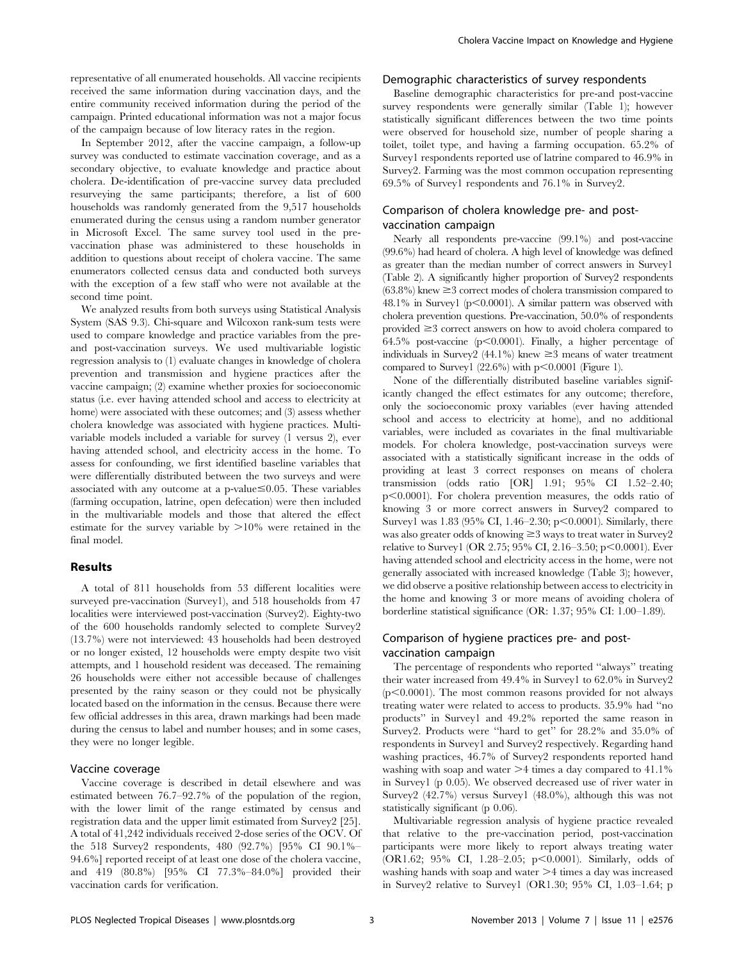representative of all enumerated households. All vaccine recipients received the same information during vaccination days, and the entire community received information during the period of the campaign. Printed educational information was not a major focus of the campaign because of low literacy rates in the region.

In September 2012, after the vaccine campaign, a follow-up survey was conducted to estimate vaccination coverage, and as a secondary objective, to evaluate knowledge and practice about cholera. De-identification of pre-vaccine survey data precluded resurveying the same participants; therefore, a list of 600 households was randomly generated from the 9,517 households enumerated during the census using a random number generator in Microsoft Excel. The same survey tool used in the prevaccination phase was administered to these households in addition to questions about receipt of cholera vaccine. The same enumerators collected census data and conducted both surveys with the exception of a few staff who were not available at the second time point.

We analyzed results from both surveys using Statistical Analysis System (SAS 9.3). Chi-square and Wilcoxon rank-sum tests were used to compare knowledge and practice variables from the preand post-vaccination surveys. We used multivariable logistic regression analysis to (1) evaluate changes in knowledge of cholera prevention and transmission and hygiene practices after the vaccine campaign; (2) examine whether proxies for socioeconomic status (i.e. ever having attended school and access to electricity at home) were associated with these outcomes; and (3) assess whether cholera knowledge was associated with hygiene practices. Multivariable models included a variable for survey (1 versus 2), ever having attended school, and electricity access in the home. To assess for confounding, we first identified baseline variables that were differentially distributed between the two surveys and were associated with any outcome at a p-value $\leq 0.05$ . These variables (farming occupation, latrine, open defecation) were then included in the multivariable models and those that altered the effect estimate for the survey variable by  $>10\%$  were retained in the final model.

## Results

A total of 811 households from 53 different localities were surveyed pre-vaccination (Survey1), and 518 households from 47 localities were interviewed post-vaccination (Survey2). Eighty-two of the 600 households randomly selected to complete Survey2 (13.7%) were not interviewed: 43 households had been destroyed or no longer existed, 12 households were empty despite two visit attempts, and 1 household resident was deceased. The remaining 26 households were either not accessible because of challenges presented by the rainy season or they could not be physically located based on the information in the census. Because there were few official addresses in this area, drawn markings had been made during the census to label and number houses; and in some cases, they were no longer legible.

## Vaccine coverage

Vaccine coverage is described in detail elsewhere and was estimated between 76.7–92.7% of the population of the region, with the lower limit of the range estimated by census and registration data and the upper limit estimated from Survey2 [25]. A total of 41,242 individuals received 2-dose series of the OCV. Of the 518 Survey2 respondents, 480 (92.7%) [95% CI 90.1%– 94.6%] reported receipt of at least one dose of the cholera vaccine, and 419 (80.8%) [95% CI 77.3%–84.0%] provided their vaccination cards for verification.

## Demographic characteristics of survey respondents

Baseline demographic characteristics for pre-and post-vaccine survey respondents were generally similar (Table 1); however statistically significant differences between the two time points were observed for household size, number of people sharing a toilet, toilet type, and having a farming occupation. 65.2% of Survey1 respondents reported use of latrine compared to 46.9% in Survey2. Farming was the most common occupation representing 69.5% of Survey1 respondents and 76.1% in Survey2.

## Comparison of cholera knowledge pre- and postvaccination campaign

Nearly all respondents pre-vaccine (99.1%) and post-vaccine (99.6%) had heard of cholera. A high level of knowledge was defined as greater than the median number of correct answers in Survey1 (Table 2). A significantly higher proportion of Survey2 respondents  $(63.8\%)$  knew  $\geq$  3 correct modes of cholera transmission compared to 48.1% in Survey1 ( $p<0.0001$ ). A similar pattern was observed with cholera prevention questions. Pre-vaccination, 50.0% of respondents provided  $\geq$  3 correct answers on how to avoid cholera compared to 64.5% post-vaccine ( $p<0.0001$ ). Finally, a higher percentage of individuals in Survey2 (44.1%) knew  $\geq$ 3 means of water treatment compared to Survey1  $(22.6\%)$  with p $< 0.0001$  (Figure 1).

None of the differentially distributed baseline variables significantly changed the effect estimates for any outcome; therefore, only the socioeconomic proxy variables (ever having attended school and access to electricity at home), and no additional variables, were included as covariates in the final multivariable models. For cholera knowledge, post-vaccination surveys were associated with a statistically significant increase in the odds of providing at least 3 correct responses on means of cholera transmission (odds ratio [OR] 1.91; 95% CI 1.52–2.40;  $p<0.0001$ ). For cholera prevention measures, the odds ratio of knowing 3 or more correct answers in Survey2 compared to Survey1 was  $1.83$  (95% CI, 1.46–2.30; p $\leq$ 0.0001). Similarly, there was also greater odds of knowing  $\geq$  3 ways to treat water in Survey2 relative to Survey1 (OR 2.75; 95% CI, 2.16–3.50; p $\leq 0.0001$ ). Ever having attended school and electricity access in the home, were not generally associated with increased knowledge (Table 3); however, we did observe a positive relationship between access to electricity in the home and knowing 3 or more means of avoiding cholera of borderline statistical significance (OR: 1.37; 95% CI: 1.00–1.89).

## Comparison of hygiene practices pre- and postvaccination campaign

The percentage of respondents who reported ''always'' treating their water increased from 49.4% in Survey1 to 62.0% in Survey2  $(p<0.0001)$ . The most common reasons provided for not always treating water were related to access to products. 35.9% had ''no products'' in Survey1 and 49.2% reported the same reason in Survey2. Products were ''hard to get'' for 28.2% and 35.0% of respondents in Survey1 and Survey2 respectively. Regarding hand washing practices, 46.7% of Survey2 respondents reported hand washing with soap and water  $\geq 4$  times a day compared to 41.1% in Survey1 (p 0.05). We observed decreased use of river water in Survey2 (42.7%) versus Survey1 (48.0%), although this was not statistically significant (p 0.06).

Multivariable regression analysis of hygiene practice revealed that relative to the pre-vaccination period, post-vaccination participants were more likely to report always treating water (OR1.62; 95% CI, 1.28-2.05; p $\leq$ 0.0001). Similarly, odds of washing hands with soap and water  $>4$  times a day was increased in Survey2 relative to Survey1 (OR1.30; 95% CI, 1.03–1.64; p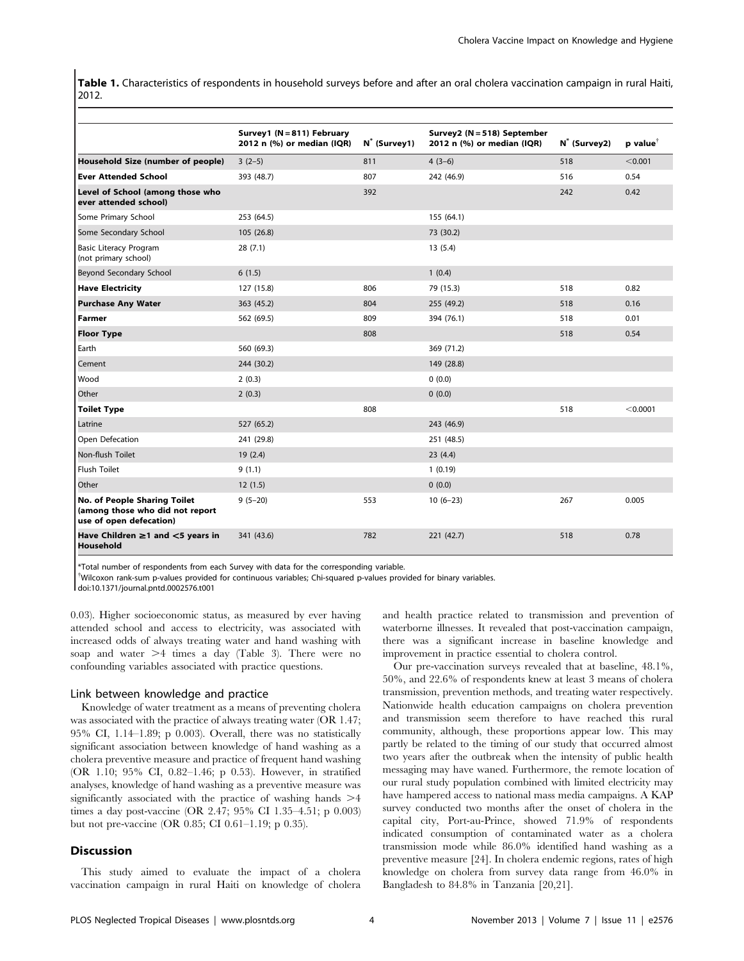Table 1. Characteristics of respondents in household surveys before and after an oral cholera vaccination campaign in rural Haiti, 2012.

|                                                                                            | Survey1 (N = 811) February<br>2012 n (%) or median (IQR) | N <sup>*</sup> (Survey1) | Survey2 (N = 518) September<br>2012 n (%) or median (IQR) | N <sup>*</sup> (Survey2) | $p$ value <sup>†</sup> |
|--------------------------------------------------------------------------------------------|----------------------------------------------------------|--------------------------|-----------------------------------------------------------|--------------------------|------------------------|
| Household Size (number of people)                                                          | $3(2-5)$                                                 | 811                      | $4(3-6)$                                                  | 518                      | < 0.001                |
| <b>Ever Attended School</b>                                                                | 393 (48.7)                                               | 807                      | 242 (46.9)                                                | 516                      | 0.54                   |
| Level of School (among those who<br>ever attended school)                                  |                                                          | 392                      |                                                           | 242                      | 0.42                   |
| Some Primary School                                                                        | 253 (64.5)                                               |                          | 155(64.1)                                                 |                          |                        |
| Some Secondary School                                                                      | 105(26.8)                                                |                          | 73 (30.2)                                                 |                          |                        |
| <b>Basic Literacy Program</b><br>(not primary school)                                      | 28(7.1)                                                  |                          | 13(5.4)                                                   |                          |                        |
| Beyond Secondary School                                                                    | 6(1.5)                                                   |                          | 1(0.4)                                                    |                          |                        |
| <b>Have Electricity</b>                                                                    | 127 (15.8)                                               | 806                      | 79 (15.3)                                                 | 518                      | 0.82                   |
| <b>Purchase Any Water</b>                                                                  | 363 (45.2)                                               | 804                      | 255 (49.2)                                                | 518                      | 0.16                   |
| <b>Farmer</b>                                                                              | 562 (69.5)                                               | 809                      | 394 (76.1)                                                | 518                      | 0.01                   |
| <b>Floor Type</b>                                                                          |                                                          | 808                      |                                                           | 518                      | 0.54                   |
| Earth                                                                                      | 560 (69.3)                                               |                          | 369 (71.2)                                                |                          |                        |
| Cement                                                                                     | 244 (30.2)                                               |                          | 149 (28.8)                                                |                          |                        |
| Wood                                                                                       | 2(0.3)                                                   |                          | 0(0.0)                                                    |                          |                        |
| Other                                                                                      | 2(0.3)                                                   |                          | 0(0.0)                                                    |                          |                        |
| <b>Toilet Type</b>                                                                         |                                                          | 808                      |                                                           | 518                      | < 0.0001               |
| Latrine                                                                                    | 527 (65.2)                                               |                          | 243 (46.9)                                                |                          |                        |
| Open Defecation                                                                            | 241 (29.8)                                               |                          | 251 (48.5)                                                |                          |                        |
| Non-flush Toilet                                                                           | 19(2.4)                                                  |                          | 23(4.4)                                                   |                          |                        |
| <b>Flush Toilet</b>                                                                        | 9(1.1)                                                   |                          | 1(0.19)                                                   |                          |                        |
| Other                                                                                      | 12(1.5)                                                  |                          | 0(0.0)                                                    |                          |                        |
| No. of People Sharing Toilet<br>(among those who did not report<br>use of open defecation) | $9(5-20)$                                                | 553                      | $10(6-23)$                                                | 267                      | 0.005                  |
| Have Children $\geq$ 1 and $\leq$ 5 years in<br>Household                                  | 341 (43.6)                                               | 782                      | 221 (42.7)                                                | 518                      | 0.78                   |

\*Total number of respondents from each Survey with data for the corresponding variable.

{ Wilcoxon rank-sum p-values provided for continuous variables; Chi-squared p-values provided for binary variables.

doi:10.1371/journal.pntd.0002576.t001

0.03). Higher socioeconomic status, as measured by ever having attended school and access to electricity, was associated with increased odds of always treating water and hand washing with soap and water  $\geq 4$  times a day (Table 3). There were no confounding variables associated with practice questions.

## Link between knowledge and practice

Knowledge of water treatment as a means of preventing cholera was associated with the practice of always treating water (OR 1.47; 95% CI, 1.14–1.89; p 0.003). Overall, there was no statistically significant association between knowledge of hand washing as a cholera preventive measure and practice of frequent hand washing (OR 1.10; 95% CI, 0.82–1.46; p 0.53). However, in stratified analyses, knowledge of hand washing as a preventive measure was significantly associated with the practice of washing hands  $\geq 4$ times a day post-vaccine (OR 2.47; 95% CI 1.35–4.51; p 0.003) but not pre-vaccine (OR 0.85; CI 0.61–1.19; p 0.35).

#### **Discussion**

This study aimed to evaluate the impact of a cholera vaccination campaign in rural Haiti on knowledge of cholera and health practice related to transmission and prevention of waterborne illnesses. It revealed that post-vaccination campaign, there was a significant increase in baseline knowledge and improvement in practice essential to cholera control.

Our pre-vaccination surveys revealed that at baseline, 48.1%, 50%, and 22.6% of respondents knew at least 3 means of cholera transmission, prevention methods, and treating water respectively. Nationwide health education campaigns on cholera prevention and transmission seem therefore to have reached this rural community, although, these proportions appear low. This may partly be related to the timing of our study that occurred almost two years after the outbreak when the intensity of public health messaging may have waned. Furthermore, the remote location of our rural study population combined with limited electricity may have hampered access to national mass media campaigns. A KAP survey conducted two months after the onset of cholera in the capital city, Port-au-Prince, showed 71.9% of respondents indicated consumption of contaminated water as a cholera transmission mode while 86.0% identified hand washing as a preventive measure [24]. In cholera endemic regions, rates of high knowledge on cholera from survey data range from 46.0% in Bangladesh to 84.8% in Tanzania [20,21].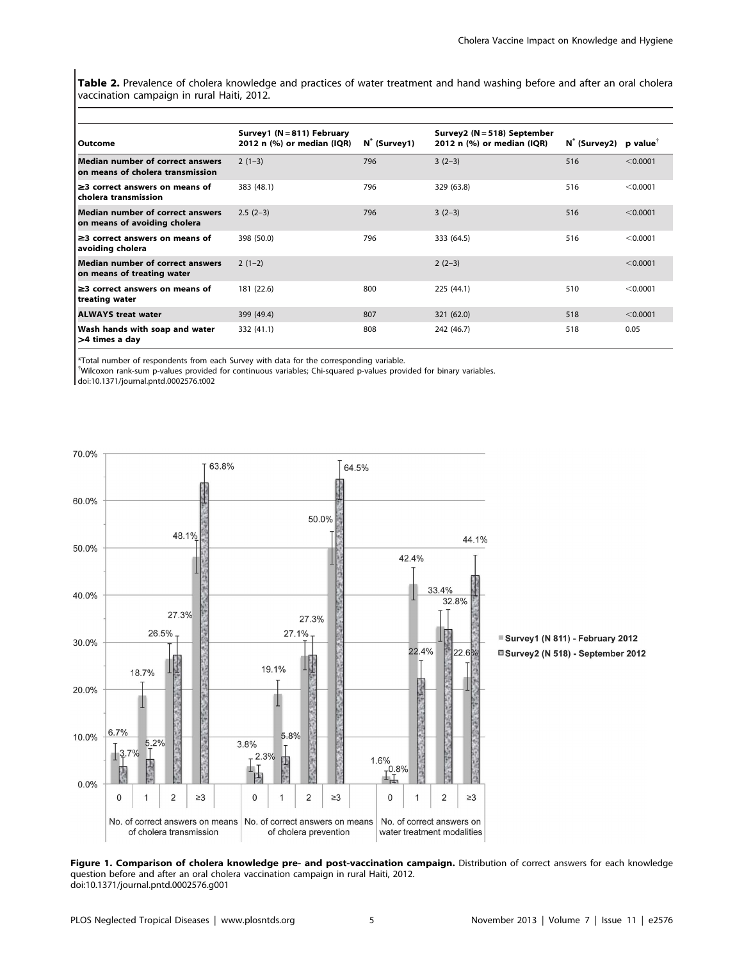Table 2. Prevalence of cholera knowledge and practices of water treatment and hand washing before and after an oral cholera vaccination campaign in rural Haiti, 2012.

| Outcome                                                                     | Survey1 (N = 811) February<br>2012 n (%) or median (IQR) | N (Survey1) | Survey2 (N = 518) September<br>2012 n (%) or median (IQR) | $N^*$ (Survey2) p value <sup>†</sup> |          |
|-----------------------------------------------------------------------------|----------------------------------------------------------|-------------|-----------------------------------------------------------|--------------------------------------|----------|
| <b>Median number of correct answers</b><br>on means of cholera transmission | $2(1-3)$                                                 | 796         | $3(2-3)$                                                  | 516                                  | < 0.0001 |
| $\geq$ 3 correct answers on means of<br>cholera transmission                | 383 (48.1)                                               | 796         | 329 (63.8)                                                | 516                                  | < 0.0001 |
| <b>Median number of correct answers</b><br>on means of avoiding cholera     | $2.5(2-3)$                                               | 796         | $3(2-3)$                                                  | 516                                  | < 0.0001 |
| $\geq$ 3 correct answers on means of<br>avoiding cholera                    | 398 (50.0)                                               | 796         | 333 (64.5)                                                | 516                                  | < 0.0001 |
| <b>Median number of correct answers</b><br>on means of treating water       | $2(1-2)$                                                 |             | $2(2-3)$                                                  |                                      | < 0.0001 |
| $\geq$ 3 correct answers on means of<br>treating water                      | 181 (22.6)                                               | 800         | 225 (44.1)                                                | 510                                  | < 0.0001 |
| <b>ALWAYS treat water</b>                                                   | 399 (49.4)                                               | 807         | 321 (62.0)                                                | 518                                  | < 0.0001 |
| Wash hands with soap and water<br>>4 times a day                            | 332 (41.1)                                               | 808         | 242 (46.7)                                                | 518                                  | 0.05     |

\*Total number of respondents from each Survey with data for the corresponding variable.

{ Wilcoxon rank-sum p-values provided for continuous variables; Chi-squared p-values provided for binary variables.

doi:10.1371/journal.pntd.0002576.t002



Survey1 (N 811) - February 2012 □Survey2 (N 518) - September 2012

Figure 1. Comparison of cholera knowledge pre- and post-vaccination campaign. Distribution of correct answers for each knowledge question before and after an oral cholera vaccination campaign in rural Haiti, 2012. doi:10.1371/journal.pntd.0002576.g001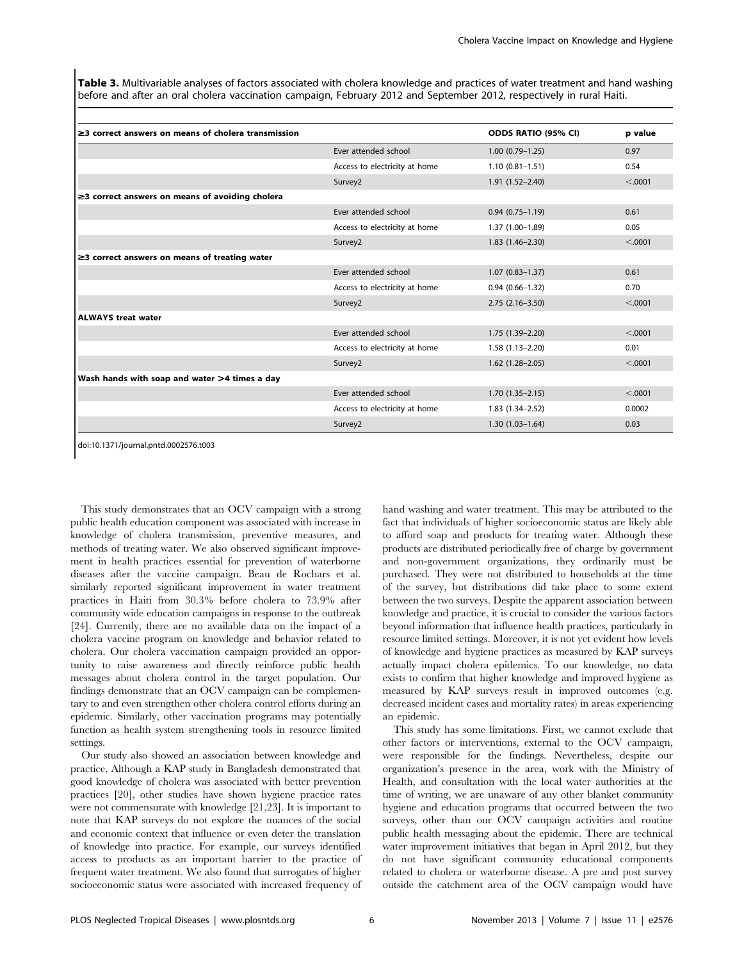Table 3. Multivariable analyses of factors associated with cholera knowledge and practices of water treatment and hand washing before and after an oral cholera vaccination campaign, February 2012 and September 2012, respectively in rural Haiti.

| $\geq$ 3 correct answers on means of cholera transmission |                               | ODDS RATIO (95% CI)    | p value  |
|-----------------------------------------------------------|-------------------------------|------------------------|----------|
|                                                           | Ever attended school          | $1.00(0.79 - 1.25)$    | 0.97     |
|                                                           | Access to electricity at home | $1.10(0.81 - 1.51)$    | 0.54     |
|                                                           | Survey2                       | $1.91(1.52 - 2.40)$    | < 0.0001 |
| $\geq$ correct answers on means of avoiding cholera       |                               |                        |          |
|                                                           | Ever attended school          | $0.94(0.75 - 1.19)$    | 0.61     |
|                                                           | Access to electricity at home | $1.37(1.00-1.89)$      | 0.05     |
|                                                           | Survey2                       | $1.83(1.46 - 2.30)$    | < 0.001  |
| $\geq$ correct answers on means of treating water         |                               |                        |          |
|                                                           | Ever attended school          | $1.07(0.83 - 1.37)$    | 0.61     |
|                                                           | Access to electricity at home | $0.94(0.66 - 1.32)$    | 0.70     |
|                                                           | Survey2                       | $2.75(2.16-3.50)$      | < .0001  |
| ALWAYS treat water                                        |                               |                        |          |
|                                                           | Ever attended school          | 1.75 (1.39-2.20)       | < 0.0001 |
|                                                           | Access to electricity at home | $1.58(1.13 - 2.20)$    | 0.01     |
|                                                           | Survey2                       | $1.62$ $(1.28 - 2.05)$ | < 0.001  |
| Wash hands with soap and water >4 times a day             |                               |                        |          |
|                                                           | Ever attended school          | $1.70(1.35 - 2.15)$    | < 0.001  |
|                                                           | Access to electricity at home | $1.83(1.34 - 2.52)$    | 0.0002   |
|                                                           | Survey2                       | $1.30(1.03 - 1.64)$    | 0.03     |

doi:10.1371/journal.pntd.0002576.t003

This study demonstrates that an OCV campaign with a strong public health education component was associated with increase in knowledge of cholera transmission, preventive measures, and methods of treating water. We also observed significant improvement in health practices essential for prevention of waterborne diseases after the vaccine campaign. Beau de Rochars et al. similarly reported significant improvement in water treatment practices in Haiti from 30.3% before cholera to 73.9% after community wide education campaigns in response to the outbreak [24]. Currently, there are no available data on the impact of a cholera vaccine program on knowledge and behavior related to cholera. Our cholera vaccination campaign provided an opportunity to raise awareness and directly reinforce public health messages about cholera control in the target population. Our findings demonstrate that an OCV campaign can be complementary to and even strengthen other cholera control efforts during an epidemic. Similarly, other vaccination programs may potentially function as health system strengthening tools in resource limited settings.

Our study also showed an association between knowledge and practice. Although a KAP study in Bangladesh demonstrated that good knowledge of cholera was associated with better prevention practices [20], other studies have shown hygiene practice rates were not commensurate with knowledge [21,23]. It is important to note that KAP surveys do not explore the nuances of the social and economic context that influence or even deter the translation of knowledge into practice. For example, our surveys identified access to products as an important barrier to the practice of frequent water treatment. We also found that surrogates of higher socioeconomic status were associated with increased frequency of hand washing and water treatment. This may be attributed to the fact that individuals of higher socioeconomic status are likely able to afford soap and products for treating water. Although these products are distributed periodically free of charge by government and non-government organizations, they ordinarily must be purchased. They were not distributed to households at the time of the survey, but distributions did take place to some extent between the two surveys. Despite the apparent association between knowledge and practice, it is crucial to consider the various factors beyond information that influence health practices, particularly in resource limited settings. Moreover, it is not yet evident how levels of knowledge and hygiene practices as measured by KAP surveys actually impact cholera epidemics. To our knowledge, no data exists to confirm that higher knowledge and improved hygiene as measured by KAP surveys result in improved outcomes (e.g. decreased incident cases and mortality rates) in areas experiencing an epidemic.

This study has some limitations. First, we cannot exclude that other factors or interventions, external to the OCV campaign, were responsible for the findings. Nevertheless, despite our organization's presence in the area, work with the Ministry of Health, and consultation with the local water authorities at the time of writing, we are unaware of any other blanket community hygiene and education programs that occurred between the two surveys, other than our OCV campaign activities and routine public health messaging about the epidemic. There are technical water improvement initiatives that began in April 2012, but they do not have significant community educational components related to cholera or waterborne disease. A pre and post survey outside the catchment area of the OCV campaign would have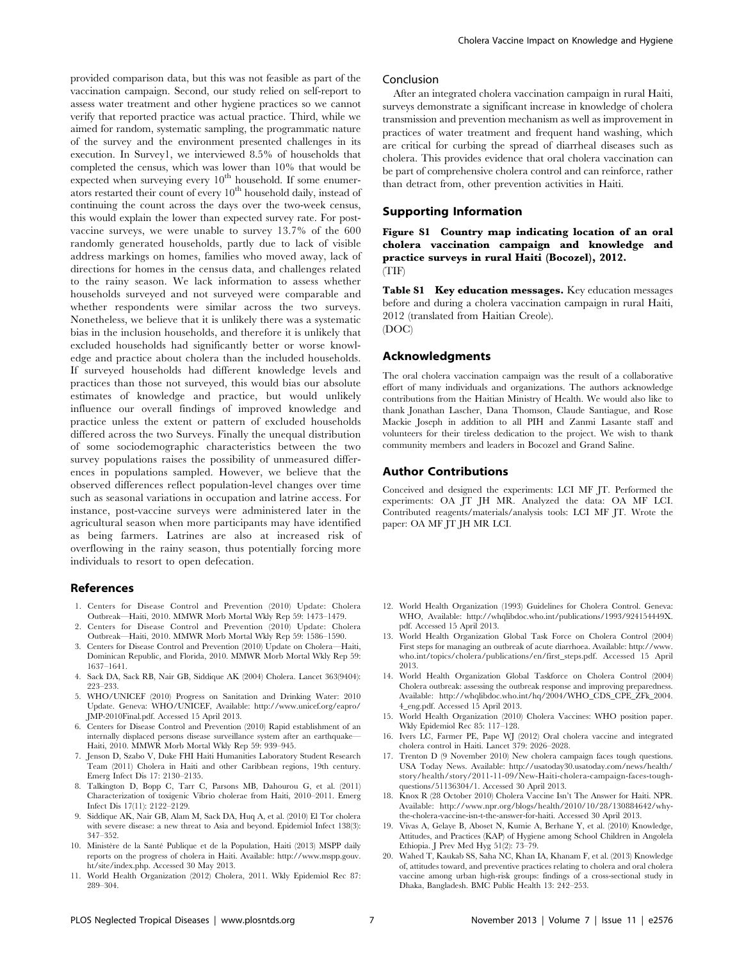provided comparison data, but this was not feasible as part of the vaccination campaign. Second, our study relied on self-report to assess water treatment and other hygiene practices so we cannot verify that reported practice was actual practice. Third, while we aimed for random, systematic sampling, the programmatic nature of the survey and the environment presented challenges in its execution. In Survey1, we interviewed 8.5% of households that completed the census, which was lower than 10% that would be expected when surveying every  $10<sup>th</sup>$  household. If some enumerators restarted their count of every 10<sup>th</sup> household daily, instead of continuing the count across the days over the two-week census, this would explain the lower than expected survey rate. For postvaccine surveys, we were unable to survey 13.7% of the 600 randomly generated households, partly due to lack of visible address markings on homes, families who moved away, lack of directions for homes in the census data, and challenges related to the rainy season. We lack information to assess whether households surveyed and not surveyed were comparable and whether respondents were similar across the two surveys. Nonetheless, we believe that it is unlikely there was a systematic bias in the inclusion households, and therefore it is unlikely that excluded households had significantly better or worse knowledge and practice about cholera than the included households. If surveyed households had different knowledge levels and practices than those not surveyed, this would bias our absolute estimates of knowledge and practice, but would unlikely influence our overall findings of improved knowledge and practice unless the extent or pattern of excluded households differed across the two Surveys. Finally the unequal distribution of some sociodemographic characteristics between the two survey populations raises the possibility of unmeasured differences in populations sampled. However, we believe that the observed differences reflect population-level changes over time such as seasonal variations in occupation and latrine access. For instance, post-vaccine surveys were administered later in the agricultural season when more participants may have identified as being farmers. Latrines are also at increased risk of overflowing in the rainy season, thus potentially forcing more individuals to resort to open defecation.

#### References

- 1. Centers for Disease Control and Prevention (2010) Update: Cholera Outbreak—Haiti, 2010. MMWR Morb Mortal Wkly Rep 59: 1473–1479.
- 2. Centers for Disease Control and Prevention (2010) Update: Cholera Outbreak—Haiti, 2010. MMWR Morb Mortal Wkly Rep 59: 1586–1590.
- 3. Centers for Disease Control and Prevention (2010) Update on Cholera—Haiti, Dominican Republic, and Florida, 2010. MMWR Morb Mortal Wkly Rep 59: 1637–1641.
- 4. Sack DA, Sack RB, Nair GB, Siddique AK (2004) Cholera. Lancet 363(9404): 223–233.
- 5. WHO/UNICEF (2010) Progress on Sanitation and Drinking Water: 2010 Update. Geneva: WHO/UNICEF, Available: http://www.unicef.org/eapro/ JMP-2010Final.pdf. Accessed 15 April 2013.
- 6. Centers for Disease Control and Prevention (2010) Rapid establishment of an internally displaced persons disease surveillance system after an earthquake— Haiti, 2010. MMWR Morb Mortal Wkly Rep 59: 939–945.
- 7. Jenson D, Szabo V, Duke FHI Haiti Humanities Laboratory Student Research Team (2011) Cholera in Haiti and other Caribbean regions, 19th century. Emerg Infect Dis 17: 2130–2135.
- 8. Talkington D, Bopp C, Tarr C, Parsons MB, Dahourou G, et al. (2011) Characterization of toxigenic Vibrio cholerae from Haiti, 2010–2011. Emerg Infect Dis 17(11): 2122–2129.
- 9. Siddique AK, Nair GB, Alam M, Sack DA, Huq A, et al. (2010) El Tor cholera with severe disease: a new threat to Asia and beyond. Epidemiol Infect 138(3): 347–352.
- 10. Ministère de la Santé Publique et de la Population, Haiti (2013) MSPP daily reports on the progress of cholera in Haiti. Available: http://www.mspp.gouv. ht/site/index.php. Accessed 30 May 2013.
- 11. World Health Organization (2012) Cholera, 2011. Wkly Epidemiol Rec 87: 289–304.

## Conclusion

After an integrated cholera vaccination campaign in rural Haiti, surveys demonstrate a significant increase in knowledge of cholera transmission and prevention mechanism as well as improvement in practices of water treatment and frequent hand washing, which are critical for curbing the spread of diarrheal diseases such as cholera. This provides evidence that oral cholera vaccination can be part of comprehensive cholera control and can reinforce, rather than detract from, other prevention activities in Haiti.

## Supporting Information

Figure S1 Country map indicating location of an oral cholera vaccination campaign and knowledge and practice surveys in rural Haiti (Bocozel), 2012. (TIF)

Table S1 Key education messages. Key education messages before and during a cholera vaccination campaign in rural Haiti, 2012 (translated from Haitian Creole). (DOC)

### Acknowledgments

The oral cholera vaccination campaign was the result of a collaborative effort of many individuals and organizations. The authors acknowledge contributions from the Haitian Ministry of Health. We would also like to thank Jonathan Lascher, Dana Thomson, Claude Santiague, and Rose Mackie Joseph in addition to all PIH and Zanmi Lasante staff and volunteers for their tireless dedication to the project. We wish to thank community members and leaders in Bocozel and Grand Saline.

## Author Contributions

Conceived and designed the experiments: LCI MF JT. Performed the experiments: OA JT JH MR. Analyzed the data: OA MF LCI. Contributed reagents/materials/analysis tools: LCI MF JT. Wrote the paper: OA MF JT JH MR LCI.

- 12. World Health Organization (1993) Guidelines for Cholera Control. Geneva: WHO, Available: http://whqlibdoc.who.int/publications/1993/924154449X. pdf. Accessed 15 April 2013.
- 13. World Health Organization Global Task Force on Cholera Control (2004) First steps for managing an outbreak of acute diarrhoea. Available: http://www. who.int/topics/cholera/publications/en/first\_steps.pdf. Accessed 15 April 2013.
- 14. World Health Organization Global Taskforce on Cholera Control (2004) Cholera outbreak: assessing the outbreak response and improving preparedness. Available: http://whqlibdoc.who.int/hq/2004/WHO\_CDS\_CPE\_ZFk\_2004. 4\_eng.pdf. Accessed 15 April 2013.
- 15. World Health Organization (2010) Cholera Vaccines: WHO position paper. Wkly Epidemiol Rec 85: 117–128.
- 16. Ivers LC, Farmer PE, Pape WJ (2012) Oral cholera vaccine and integrated cholera control in Haiti. Lancet 379: 2026–2028.
- 17. Trenton D (9 November 2010) New cholera campaign faces tough questions. USA Today News. Available: http://usatoday30.usatoday.com/news/health/ story/health/story/2011-11-09/New-Haiti-cholera-campaign-faces-toughquestions/51136304/1. Accessed 30 April 2013.
- 18. Knox R (28 October 2010) Cholera Vaccine Isn't The Answer for Haiti. NPR. Available: http://www.npr.org/blogs/health/2010/10/28/130884642/whythe-cholera-vaccine-isn-t-the-answer-for-haiti. Accessed 30 April 2013.
- 19. Vivas A, Gelaye B, Aboset N, Kumie A, Berhane Y, et al. (2010) Knowledge, Attitudes, and Practices (KAP) of Hygiene among School Children in Angolela Ethiopia. J Prev Med Hyg 51(2): 73–79.
- 20. Wahed T, Kaukab SS, Saha NC, Khan IA, Khanam F, et al. (2013) Knowledge of, attitudes toward, and preventive practices relating to cholera and oral cholera vaccine among urban high-risk groups: findings of a cross-sectional study in Dhaka, Bangladesh. BMC Public Health 13: 242–253.